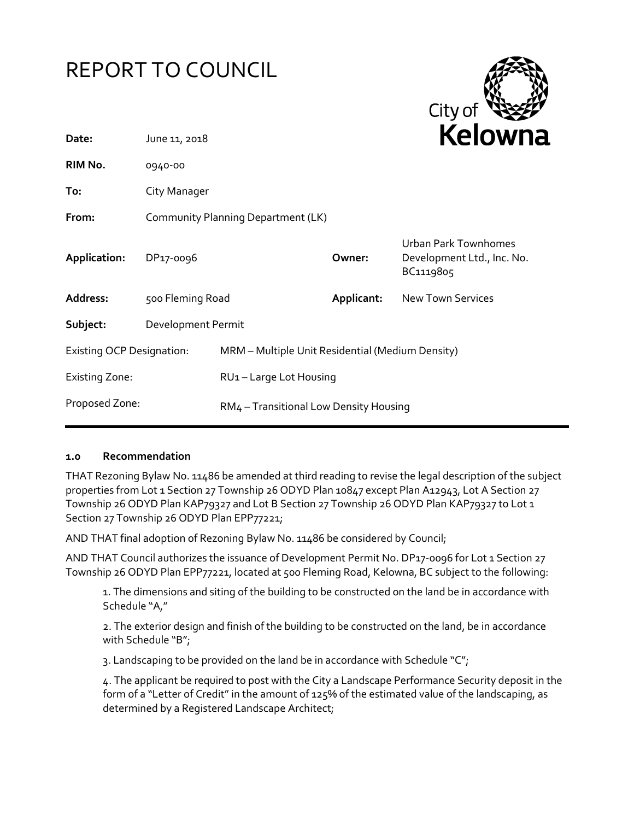# REPORT TO COUNCIL



| Date:                            | June 11, 2018                      |                                                  |            | <b>NEIUWH</b>                                                   |
|----------------------------------|------------------------------------|--------------------------------------------------|------------|-----------------------------------------------------------------|
| RIM No.                          | 0940-00                            |                                                  |            |                                                                 |
| To:                              | City Manager                       |                                                  |            |                                                                 |
| From:                            | Community Planning Department (LK) |                                                  |            |                                                                 |
| Application:                     | DP17-0096                          |                                                  | Owner:     | Urban Park Townhomes<br>Development Ltd., Inc. No.<br>BC1119805 |
| Address:                         | 500 Fleming Road                   |                                                  | Applicant: | <b>New Town Services</b>                                        |
| Subject:                         | Development Permit                 |                                                  |            |                                                                 |
| <b>Existing OCP Designation:</b> |                                    | MRM - Multiple Unit Residential (Medium Density) |            |                                                                 |
| <b>Existing Zone:</b>            |                                    | RU1-Large Lot Housing                            |            |                                                                 |
| Proposed Zone:                   |                                    | RM4 - Transitional Low Density Housing           |            |                                                                 |
|                                  |                                    |                                                  |            |                                                                 |

### **1.0 Recommendation**

THAT Rezoning Bylaw No. 11486 be amended at third reading to revise the legal description of the subject properties from Lot 1 Section 27 Township 26 ODYD Plan 10847 except Plan A12943, Lot A Section 27 Township 26 ODYD Plan KAP79327 and Lot B Section 27 Township 26 ODYD Plan KAP79327 to Lot 1 Section 27 Township 26 ODYD Plan EPP77221;

AND THAT final adoption of Rezoning Bylaw No. 11486 be considered by Council;

AND THAT Council authorizes the issuance of Development Permit No. DP17-0096 for Lot 1 Section 27 Township 26 ODYD Plan EPP77221, located at 500 Fleming Road, Kelowna, BC subject to the following:

1. The dimensions and siting of the building to be constructed on the land be in accordance with Schedule "A,"

2. The exterior design and finish of the building to be constructed on the land, be in accordance with Schedule "B";

3. Landscaping to be provided on the land be in accordance with Schedule "C";

4. The applicant be required to post with the City a Landscape Performance Security deposit in the form of a "Letter of Credit" in the amount of 125% of the estimated value of the landscaping, as determined by a Registered Landscape Architect;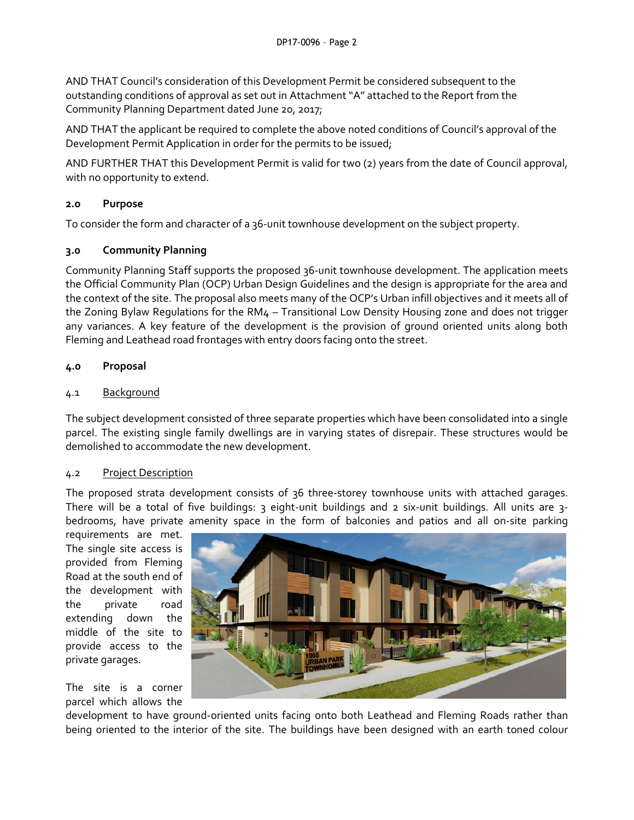AND THAT Council's consideration of this Development Permit be considered subsequent to the outstanding conditions of approval as set out in Attachment "A" attached to the Report from the Community Planning Department dated June 20, 2017;

AND THAT the applicant be required to complete the above noted conditions of Council's approval of the Development Permit Application in order for the permits to be issued;

AND FURTHER THAT this Development Permit is valid for two (2) years from the date of Council approval, with no opportunity to extend.

# **2.0 Purpose**

To consider the form and character of a 36-unit townhouse development on the subject property.

### **3.0 Community Planning**

Community Planning Staff supports the proposed 36-unit townhouse development. The application meets the Official Community Plan (OCP) Urban Design Guidelines and the design is appropriate for the area and the context of the site. The proposal also meets many of the OCP's Urban infill objectives and it meets all of the Zoning Bylaw Regulations for the RM4 – Transitional Low Density Housing zone and does not trigger any variances. A key feature of the development is the provision of ground oriented units along both Fleming and Leathead road frontages with entry doors facing onto the street.

### **4.0 Proposal**

### 4.1 Background

The subject development consisted of three separate properties which have been consolidated into a single parcel. The existing single family dwellings are in varying states of disrepair. These structures would be demolished to accommodate the new development.

### 4.2 Project Description

The proposed strata development consists of 36 three-storey townhouse units with attached garages. There will be a total of five buildings: 3 eight-unit buildings and 2 six-unit buildings. All units are 3 bedrooms, have private amenity space in the form of balconies and patios and all on-site parking

requirements are met. The single site access is provided from Fleming Road at the south end of the development with the private road extending down the middle of the site to provide access to the private garages.

The site is a corner parcel which allows the



development to have ground-oriented units facing onto both Leathead and Fleming Roads rather than being oriented to the interior of the site. The buildings have been designed with an earth toned colour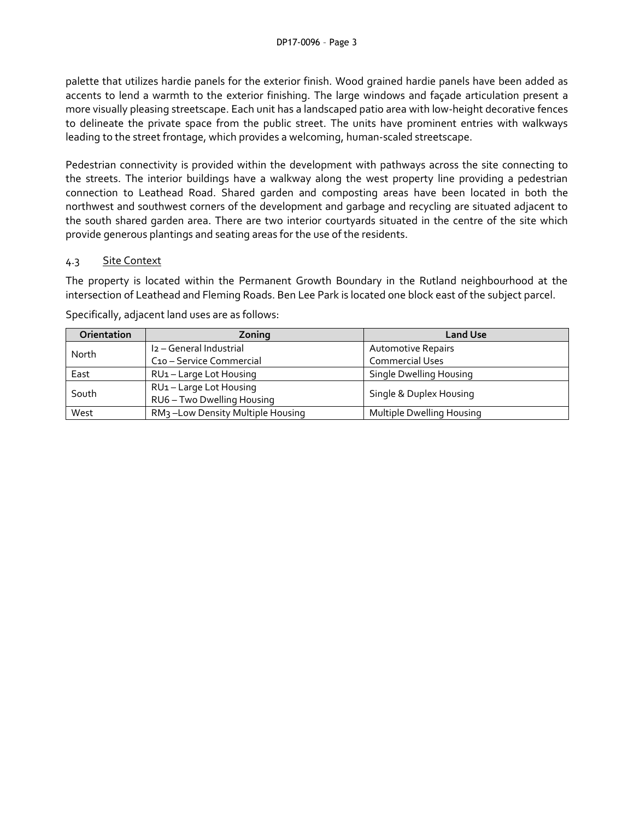palette that utilizes hardie panels for the exterior finish. Wood grained hardie panels have been added as accents to lend a warmth to the exterior finishing. The large windows and façade articulation present a more visually pleasing streetscape. Each unit has a landscaped patio area with low-height decorative fences to delineate the private space from the public street. The units have prominent entries with walkways leading to the street frontage, which provides a welcoming, human-scaled streetscape.

Pedestrian connectivity is provided within the development with pathways across the site connecting to the streets. The interior buildings have a walkway along the west property line providing a pedestrian connection to Leathead Road. Shared garden and composting areas have been located in both the northwest and southwest corners of the development and garbage and recycling are situated adjacent to the south shared garden area. There are two interior courtyards situated in the centre of the site which provide generous plantings and seating areas for the use of the residents.

### 4.3 Site Context

The property is located within the Permanent Growth Boundary in the Rutland neighbourhood at the intersection of Leathead and Fleming Roads. Ben Lee Park is located one block east of the subject parcel.

| Orientation | Zoning                                                | <b>Land Use</b>           |  |
|-------------|-------------------------------------------------------|---------------------------|--|
| North       | I2 - General Industrial                               | <b>Automotive Repairs</b> |  |
|             | C <sub>10</sub> – Service Commercial                  | <b>Commercial Uses</b>    |  |
| East        | RU1-Large Lot Housing                                 | Single Dwelling Housing   |  |
| South       | RU1-Large Lot Housing                                 |                           |  |
|             | Single & Duplex Housing<br>RU6 - Two Dwelling Housing |                           |  |
| West        | RM <sub>3</sub> -Low Density Multiple Housing         | Multiple Dwelling Housing |  |

Specifically, adjacent land uses are as follows: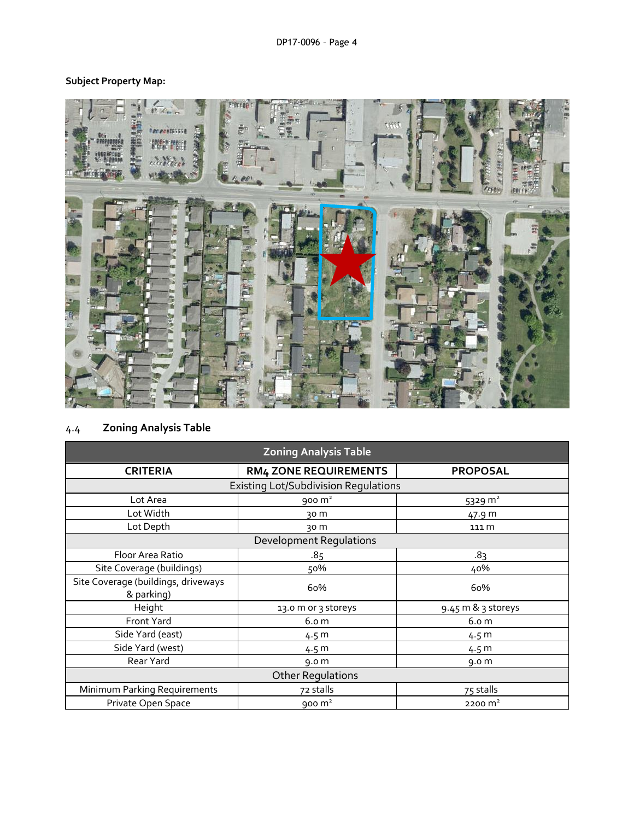# **Subject Property Map:**



# 4.4 **Zoning Analysis Table**

| <b>Zoning Analysis Table</b>                      |                              |                    |  |  |  |
|---------------------------------------------------|------------------------------|--------------------|--|--|--|
| <b>CRITERIA</b>                                   | <b>RM4 ZONE REQUIREMENTS</b> | <b>PROPOSAL</b>    |  |  |  |
| <b>Existing Lot/Subdivision Regulations</b>       |                              |                    |  |  |  |
| Lot Area                                          | $900 \text{ m}^2$            | 5329 $m2$          |  |  |  |
| Lot Width                                         | 30 m                         | 47.9 m             |  |  |  |
| Lot Depth                                         | 30 m                         | 111 m              |  |  |  |
| <b>Development Requlations</b>                    |                              |                    |  |  |  |
| Floor Area Ratio                                  | .85                          | .8 <sub>3</sub>    |  |  |  |
| Site Coverage (buildings)                         | 50%                          | 40%                |  |  |  |
| Site Coverage (buildings, driveways<br>& parking) | 60%                          | 60%                |  |  |  |
| Height                                            | 13.0 m or 3 storeys          | 9.45 m & 3 storeys |  |  |  |
| Front Yard                                        | 6.0 <sub>m</sub>             | 6.0 <sub>m</sub>   |  |  |  |
| Side Yard (east)                                  | 4.5 m                        | 4.5 m              |  |  |  |
| Side Yard (west)                                  | 4.5 <sub>m</sub>             | 4.5 m              |  |  |  |
| Rear Yard                                         | 9.0 <sub>m</sub>             | 9.0 <sub>m</sub>   |  |  |  |
| <b>Other Regulations</b>                          |                              |                    |  |  |  |
| Minimum Parking Requirements                      | 72 stalls                    | 75 stalls          |  |  |  |
| Private Open Space                                | 900 $m2$                     | $2200 \text{ m}^2$ |  |  |  |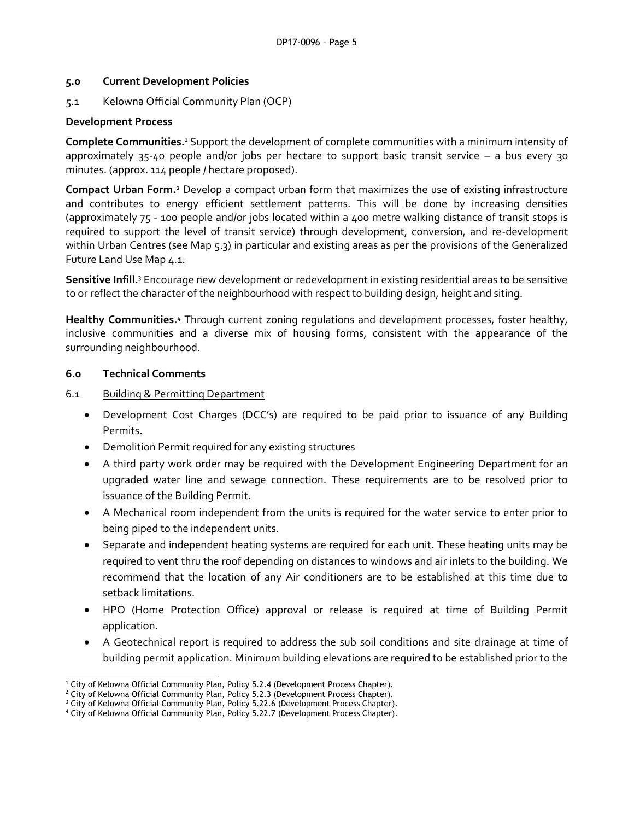### **5.0 Current Development Policies**

5.1 Kelowna Official Community Plan (OCP)

### **Development Process**

**Complete Communities.**<sup>1</sup> Support the development of complete communities with a minimum intensity of approximately 35-40 people and/or jobs per hectare to support basic transit service – a bus every 30 minutes. (approx. 114 people / hectare proposed).

**Compact Urban Form.**<sup>2</sup> Develop a compact urban form that maximizes the use of existing infrastructure and contributes to energy efficient settlement patterns. This will be done by increasing densities (approximately 75 - 100 people and/or jobs located within a 400 metre walking distance of transit stops is required to support the level of transit service) through development, conversion, and re-development within Urban Centres (see Map 5.3) in particular and existing areas as per the provisions of the Generalized Future Land Use Map 4.1.

**Sensitive Infill.**<sup>3</sup> Encourage new development or redevelopment in existing residential areas to be sensitive to or reflect the character of the neighbourhood with respect to building design, height and siting.

**Healthy Communities.**<sup>4</sup> Through current zoning regulations and development processes, foster healthy, inclusive communities and a diverse mix of housing forms, consistent with the appearance of the surrounding neighbourhood.

### **6.0 Technical Comments**

- 6.1 Building & Permitting Department
	- Development Cost Charges (DCC's) are required to be paid prior to issuance of any Building Permits.
	- Demolition Permit required for any existing structures
	- A third party work order may be required with the Development Engineering Department for an upgraded water line and sewage connection. These requirements are to be resolved prior to issuance of the Building Permit.
	- A Mechanical room independent from the units is required for the water service to enter prior to being piped to the independent units.
	- Separate and independent heating systems are required for each unit. These heating units may be required to vent thru the roof depending on distances to windows and air inlets to the building. We recommend that the location of any Air conditioners are to be established at this time due to setback limitations.
	- HPO (Home Protection Office) approval or release is required at time of Building Permit application.
	- A Geotechnical report is required to address the sub soil conditions and site drainage at time of building permit application. Minimum building elevations are required to be established prior to the

<sup>1</sup> <sup>1</sup> City of Kelowna Official Community Plan, Policy 5.2.4 (Development Process Chapter).

 $2$  City of Kelowna Official Community Plan, Policy 5.2.3 (Development Process Chapter).

<sup>&</sup>lt;sup>3</sup> City of Kelowna Official Community Plan, Policy 5.22.6 (Development Process Chapter).

<sup>4</sup> City of Kelowna Official Community Plan, Policy 5.22.7 (Development Process Chapter).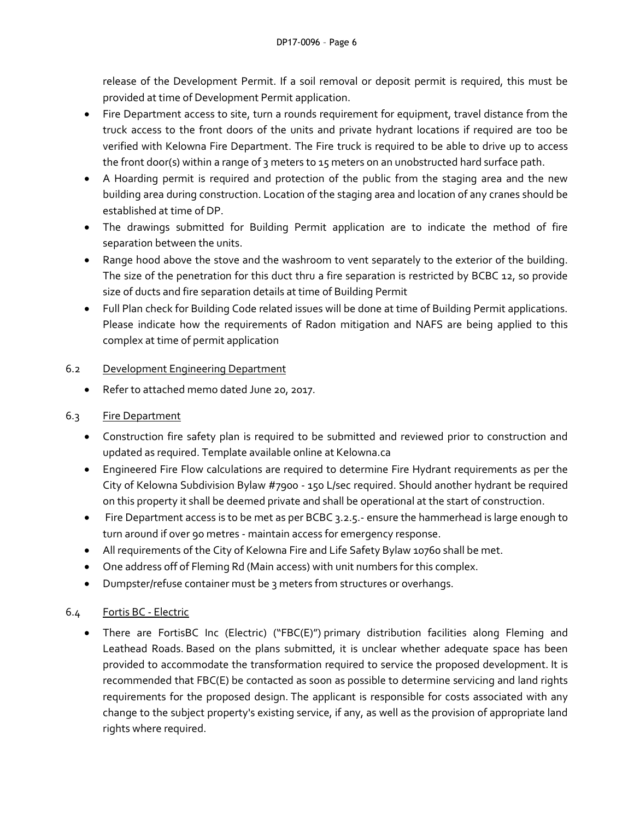release of the Development Permit. If a soil removal or deposit permit is required, this must be provided at time of Development Permit application.

- Fire Department access to site, turn a rounds requirement for equipment, travel distance from the truck access to the front doors of the units and private hydrant locations if required are too be verified with Kelowna Fire Department. The Fire truck is required to be able to drive up to access the front door(s) within a range of 3 meters to 15 meters on an unobstructed hard surface path.
- A Hoarding permit is required and protection of the public from the staging area and the new building area during construction. Location of the staging area and location of any cranes should be established at time of DP.
- The drawings submitted for Building Permit application are to indicate the method of fire separation between the units.
- Range hood above the stove and the washroom to vent separately to the exterior of the building. The size of the penetration for this duct thru a fire separation is restricted by BCBC 12, so provide size of ducts and fire separation details at time of Building Permit
- Full Plan check for Building Code related issues will be done at time of Building Permit applications. Please indicate how the requirements of Radon mitigation and NAFS are being applied to this complex at time of permit application

# 6.2 Development Engineering Department

- Refer to attached memo dated June 20, 2017.
- 6.3 Fire Department
	- Construction fire safety plan is required to be submitted and reviewed prior to construction and updated as required. Template available online at Kelowna.ca
	- Engineered Fire Flow calculations are required to determine Fire Hydrant requirements as per the City of Kelowna Subdivision Bylaw #7900 - 150 L/sec required. Should another hydrant be required on this property it shall be deemed private and shall be operational at the start of construction.
	- Fire Department access is to be met as per BCBC 3.2.5.- ensure the hammerhead is large enough to turn around if over 90 metres - maintain access for emergency response.
	- All requirements of the City of Kelowna Fire and Life Safety Bylaw 10760 shall be met.
	- One address off of Fleming Rd (Main access) with unit numbers for this complex.
	- Dumpster/refuse container must be 3 meters from structures or overhangs.

# 6.4 Fortis BC - Electric

 There are FortisBC Inc (Electric) ("FBC(E)") primary distribution facilities along Fleming and Leathead Roads. Based on the plans submitted, it is unclear whether adequate space has been provided to accommodate the transformation required to service the proposed development. It is recommended that FBC(E) be contacted as soon as possible to determine servicing and land rights requirements for the proposed design. The applicant is responsible for costs associated with any change to the subject property's existing service, if any, as well as the provision of appropriate land rights where required.